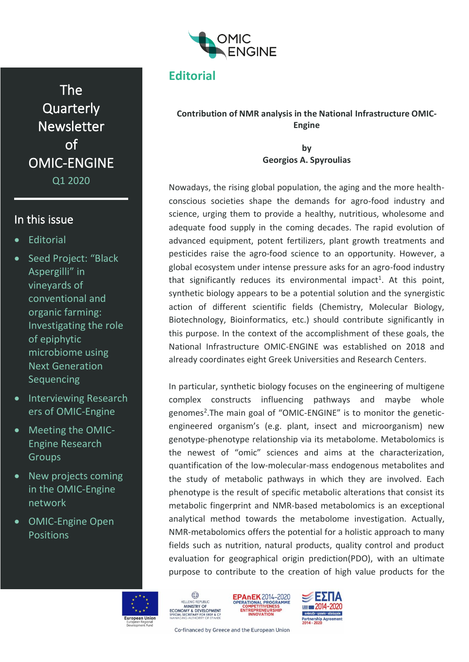

### **Editorial**

**Contribution of NMR analysis in the National Infrastructure OMIC-Engine**

> **by Georgios A. Spyroulias**

Nowadays, the rising global population, the aging and the more healthconscious societies shape the demands for agro-food industry and science, urging them to provide a healthy, nutritious, wholesome and adequate food supply in the coming decades. The rapid evolution of advanced equipment, potent fertilizers, plant growth treatments and pesticides raise the agro-food science to an opportunity. However, a global ecosystem under intense pressure asks for an agro-food industry that significantly reduces its environmental impact<sup>1</sup>. At this point, synthetic biology appears to be a potential solution and the synergistic action of different scientific fields (Chemistry, Molecular Biology, Biotechnology, Bioinformatics, etc.) should contribute significantly in this purpose. In the context of the accomplishment of these goals, the National Infrastructure OMIC-ENGINE was established on 2018 and already coordinates eight Greek Universities and Research Centers.

In particular, synthetic biology focuses on the engineering of multigene complex constructs influencing pathways and maybe whole genomes<sup>2</sup>. The main goal of "OMIC-ENGINE" is to monitor the geneticengineered organism's (e.g. plant, insect and microorganism) new genotype-phenotype relationship via its metabolome. Metabolomics is the newest of "omic" sciences and aims at the characterization, quantification of the low-molecular-mass endogenous metabolites and the study of metabolic pathways in which they are involved. Each phenotype is the result of specific metabolic alterations that consist its metabolic fingerprint and NMR-based metabolomics is an exceptional analytical method towards the metabolome investigation. Actually, NMR-metabolomics offers the potential for a holistic approach to many fields such as nutrition, natural products, quality control and product evaluation for geographical origin prediction(PDO), with an ultimate purpose to contribute to the creation of high value products for the



0





Co-financed by Greece and the European Union

The **Quarterly** Newsletter of OMIC-ENGINE Q1 2020

### In this issue

- **Editorial**
- Seed Project: "Black Aspergilli" in vineyards of conventional and organic farming: Investigating the role of epiphytic microbiome using Next Generation Sequencing
- Interviewing Research ers of OMIC-Engine
- Meeting the OMIC-Engine Research Groups
- New projects coming in the OMIC-Engine network
- OMIC-Engine Open Positions

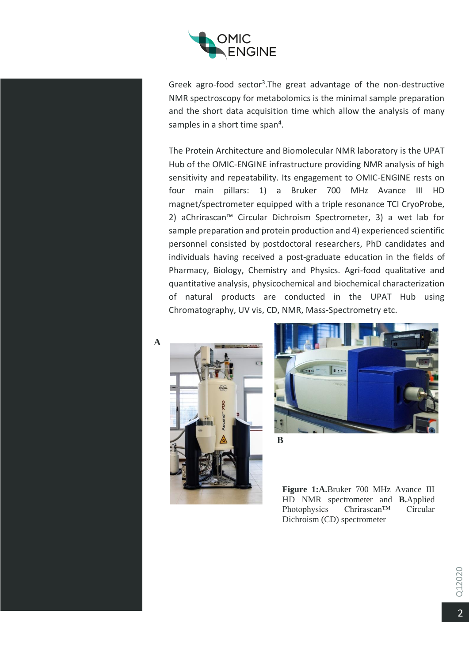

Greek agro-food sector<sup>3</sup>. The great advantage of the non-destructive NMR spectroscopy for metabolomics is the minimal sample preparation and the short data acquisition time which allow the analysis of many samples in a short time span<sup>4</sup>.

The Protein Architecture and Biomolecular NMR laboratory is the UPAT Hub of the OMIC-ENGINE infrastructure providing NMR analysis of high sensitivity and repeatability. Its engagement to OMIC-ENGINE rests on four main pillars: 1) a Bruker 700 MHz Avance III HD magnet/spectrometer equipped with a triple resonance TCI CryoProbe, 2) aChrirascan™ Circular Dichroism Spectrometer, 3) a wet lab for sample preparation and protein production and 4) experienced scientific personnel consisted by postdoctoral researchers, PhD candidates and individuals having received a post-graduate education in the fields of Pharmacy, Biology, Chemistry and Physics. Agri-food qualitative and quantitative analysis, physicochemical and biochemical characterization of natural products are conducted in the UPAT Hub using Chromatography, UV vis, CD, NMR, Mass-Spectrometry etc.







**Figure 1:A.**Bruker 700 MHz Avance III HD NMR spectrometer and **B.**Applied Photophysics Chrirascan™ Circular Dichroism (CD) spectrometer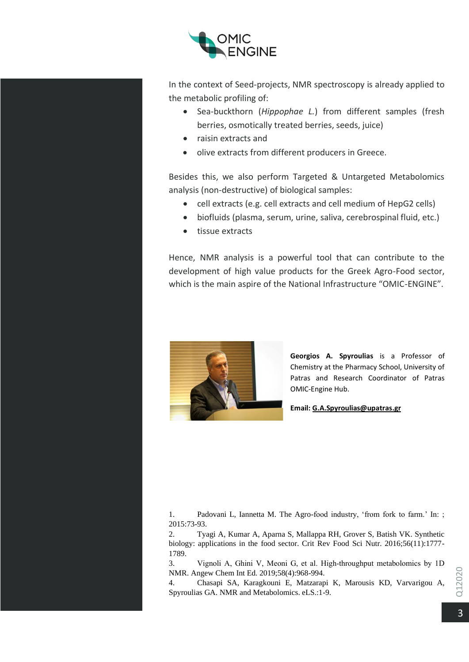

In the context of Seed-projects, NMR spectroscopy is already applied to the metabolic profiling of:

- Sea-buckthorn (*Hippophae L.*) from different samples (fresh berries, osmotically treated berries, seeds, juice)
- raisin extracts and
- olive extracts from different producers in Greece.

Βesides this, we also perform Targeted & Untargeted Metabolomics analysis (non-destructive) of biological samples:

- cell extracts (e.g. cell extracts and cell medium of HepG2 cells)
- biofluids (plasma, serum, urine, saliva, cerebrospinal fluid, etc.)
- tissue extracts

Hence, NMR analysis is a powerful tool that can contribute to the development of high value products for the Greek Agro-Food sector, which is the main aspire of the National Infrastructure "OMIC-ENGINE".



**Georgios A. Spyroulias** is a Professor of Chemistry at the Pharmacy School, University of Patras and Research Coordinator of Patras OMIC-Engine Hub.

**Email: G.A.Spyroulias@upatras.gr**

1. Padovani L, Iannetta M. The Agro-food industry, 'from fork to farm.' In: ; 2015:73-93.

2. Tyagi A, Kumar A, Aparna S, Mallappa RH, Grover S, Batish VK. Synthetic biology: applications in the food sector. Crit Rev Food Sci Nutr. 2016;56(11):1777- 1789.

3. Vignoli A, Ghini V, Meoni G, et al. High‐throughput metabolomics by 1D NMR. Angew Chem Int Ed. 2019;58(4):968-994.

4. Chasapi SA, Karagkouni E, Matzarapi K, Marousis KD, Varvarigou A, Spyroulias GA. NMR and Metabolomics. eLS.:1-9.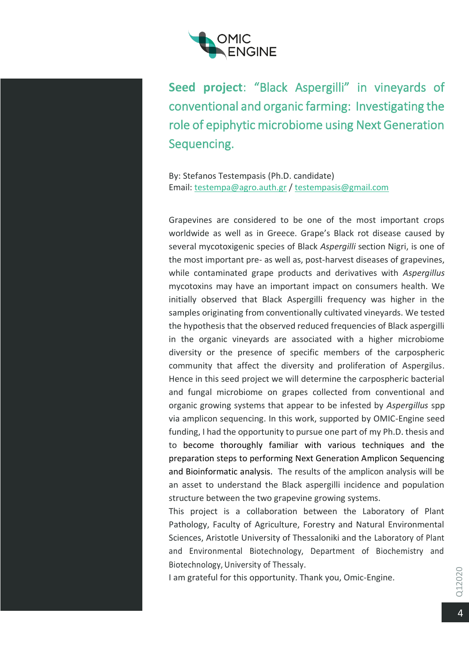

**Seed project**: "Black Aspergilli" in vineyards of conventional and organic farming: Investigating the role of epiphytic microbiome using Next Generation Sequencing.

By: Stefanos Testempasis (Ph.D. candidate) Email: [testempa@agro.auth.gr](mailto:testempa@agro.auth.gr) / [testempasis@gmail.com](mailto:testempasis@gmail.com)

Grapevines are considered to be one of the most important crops worldwide as well as in Greece. Grape's Black rot disease caused by several mycotoxigenic species of Black *Aspergilli* section Nigri, is one of the most important pre- as well as, post-harvest diseases of grapevines, while contaminated grape products and derivatives with *Aspergillus* mycotoxins may have an important impact on consumers health. We initially observed that Black Aspergilli frequency was higher in the samples originating from conventionally cultivated vineyards. We tested the hypothesis that the observed reduced frequencies of Black aspergilli in the organic vineyards are associated with a higher microbiome diversity or the presence of specific members of the carpospheric community that affect the diversity and proliferation of Aspergilus. Hence in this seed project we will determine the carpospheric bacterial and fungal microbiome on grapes collected from conventional and organic growing systems that appear to be infested by *Aspergillus* spp via amplicon sequencing. In this work, supported by OMIC-Engine seed funding, I had the opportunity to pursue one part of my Ph.D. thesis and tο become thoroughly familiar with various techniques and the preparation steps to performing Next Generation Amplicon Sequencing and Bioinformatic analysis. The results of the amplicon analysis will be an asset to understand the Black aspergilli incidence and population structure between the two grapevine growing systems.

This project is a collaboration between the Laboratory of Plant Pathology, Faculty of Agriculture, Forestry and Natural Environmental Sciences, Aristotle University of Thessaloniki and the Laboratory of Plant and Environmental Biotechnology, Department of Biochemistry and Biotechnology, University of Thessaly.

I am grateful for this opportunity. Thank you, Omic-Engine.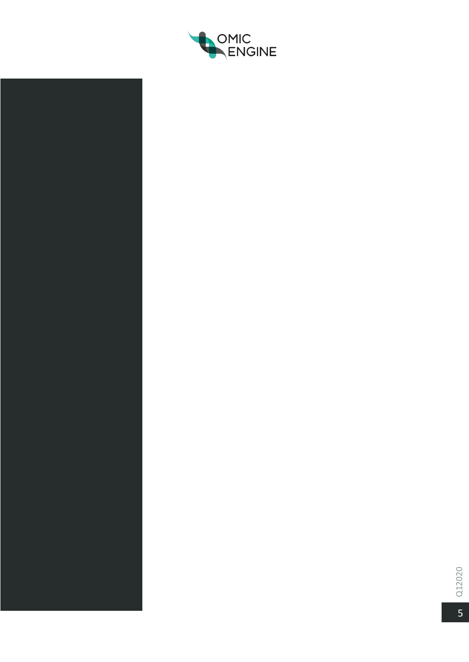



Q12020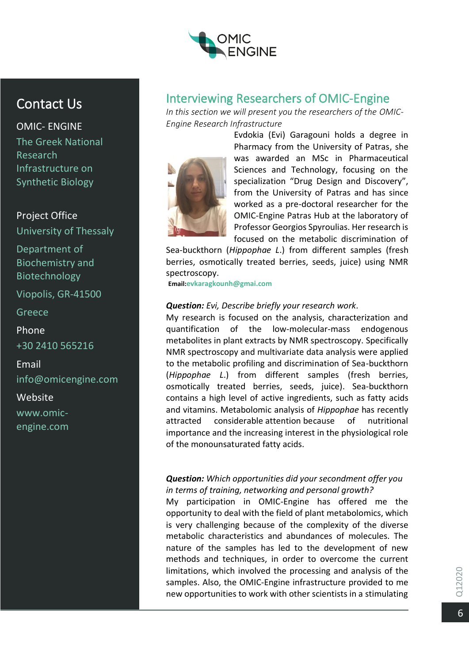

# Contact Us

OMIC- ENGINE The Greek National Research Infrastructure on Synthetic Biology

### Project Office

University of Thessaly

Department of Biochemistry and Biotechnology

Viopolis, GR-41500

Greece

Phone +30 2410 565216

Email info@omicengine.com

Website

www.omicengine.com

### Interviewing Researchers of OMIC-Engine

*In this section we will present you the researchers of the OMIC-Engine Research Infrastructure*



Evdokia (Evi) Garagouni holds a degree in Pharmacy from the University of Patras, she was awarded an MSc in Pharmaceutical Sciences and Technology, focusing on the specialization "Drug Design and Discovery", from the University of Patras and has since worked as a pre-doctoral researcher for the OMIC-Engine Patras Hub at the laboratory of Professor Georgios Spyroulias. Her research is focused on the metabolic discrimination of

Sea-buckthorn (*Hippophae L*.) from different samples (fresh berries, osmotically treated berries, seeds, juice) using NMR spectroscopy.

**Email:evkaragkounh@gmai.com**

#### *Question: Evi, Describe briefly your research work.*

My research is focused on the analysis, characterization and quantification of the low-molecular-mass endogenous metabolites in plant extracts by NMR spectroscopy. Specifically NMR spectroscopy and multivariate data analysis were applied to the metabolic profiling and discrimination of Sea-buckthorn (*Hippophae L*.) from different samples (fresh berries, osmotically treated berries, seeds, juice). Sea-buckthorn contains a high level of active ingredients, such as fatty acids and vitamins. Metabolomic analysis of *Hippophae* has recently attracted considerable attention because of nutritional importance and the increasing interest in the physiological role of the monounsaturated fatty acids.

#### *Question: Which opportunities did your secondment offer you in terms of training, networking and personal growth?*

My participation in OMIC-Engine has offered me the opportunity to deal with the field of plant metabolomics, which is very challenging because of the complexity of the diverse metabolic characteristics and abundances of molecules. The nature of the samples has led to the development of new methods and techniques, in order to overcome the current limitations, which involved the processing and analysis of the samples. Also, the OMIC-Engine infrastructure provided to me new opportunities to work with other scientists in a stimulating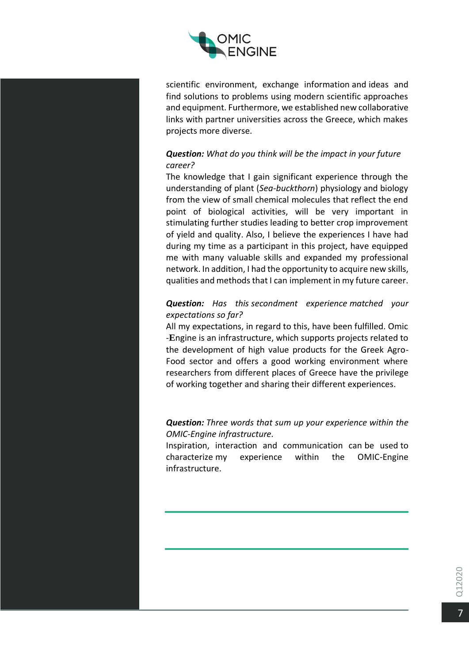

scientific environment, exchange information and ideas and find solutions to problems using modern scientific approaches and equipment. Furthermore, we established new collaborative links with partner universities across the Greece, which makes projects more diverse.

#### *Question: What do you think will be the impact in your future career?*

The knowledge that I gain significant experience through the understanding of plant (*Sea-buckthorn*) physiology and biology from the view of small chemical molecules that reflect the end point of biological activities, will be very important in stimulating further studies leading to better crop improvement of yield and quality. Also, I believe the experiences I have had during my time as a participant in this project, have equipped me with many valuable skills and expanded my professional network. In addition, I had the opportunity to acquire new skills, qualities and methods that I can implement in my future career.

#### *Question: Has this secondment experience matched your expectations so far?*

All my expectations, in regard to this, have been fulfilled. Omic -**E**ngine is an infrastructure, which supports projects related to the development of high value products for the Greek Agro-Food sector and offers a good working environment where researchers from different places of Greece have the privilege of working together and sharing their different experiences.

#### *Question: Three words that sum up your experience within the OMIC-Engine infrastructure.*

Inspiration, interaction and communication can be used to characterize my experience within the OMIC-Engine infrastructure.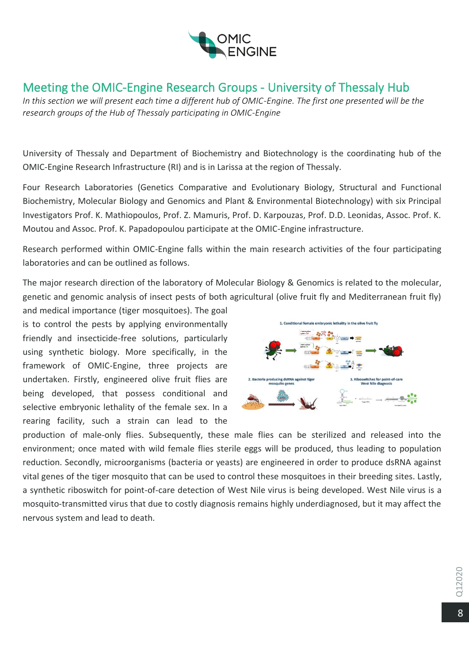

## Meeting the OMIC-Engine Research Groups - University of Thessaly Hub

In this section we will present each time a different hub of OMIC-Engine. The first one presented will be the *research groups of the Hub of Thessaly participating in OMIC-Engine*

University of Thessaly and Department of Biochemistry and Biotechnology is the coordinating hub of the OMIC-Engine Research Infrastructure (RI) and is in Larissa at the region of Thessaly.

Four Research Laboratories (Genetics Comparative and Evolutionary Biology, Structural and Functional Biochemistry, Molecular Biology and Genomics and Plant & Environmental Biotechnology) with six Principal Investigators Prof. K. Mathiopoulos, Prof. Z. Mamuris, Prof. D. Karpouzas, Prof. D.D. Leonidas, Assoc. Prof. K. Moutou and Assoc. Prof. K. Papadopoulou participate at the OMIC-Engine infrastructure.

Research performed within OMIC-Engine falls within the main research activities of the four participating laboratories and can be outlined as follows.

The major research direction of the laboratory of Molecular Biology & Genomics is related to the molecular, genetic and genomic analysis of insect pests of both agricultural (olive fruit fly and Mediterranean fruit fly)

and medical importance (tiger mosquitoes). The goal is to control the pests by applying environmentally friendly and insecticide-free solutions, particularly using synthetic biology. More specifically, in the framework of OMIC-Engine, three projects are undertaken. Firstly, engineered olive fruit flies are being developed, that possess conditional and selective embryonic lethality of the female sex. In a rearing facility, such a strain can lead to the



production of male-only flies. Subsequently, these male flies can be sterilized and released into the environment; once mated with wild female flies sterile eggs will be produced, thus leading to population reduction. Secondly, microorganisms (bacteria or yeasts) are engineered in order to produce dsRNA against vital genes of the tiger mosquito that can be used to control these mosquitoes in their breeding sites. Lastly, a synthetic riboswitch for point-of-care detection of West Nile virus is being developed. West Nile virus is a mosquito-transmitted virus that due to costly diagnosis remains highly underdiagnosed, but it may affect the nervous system and lead to death.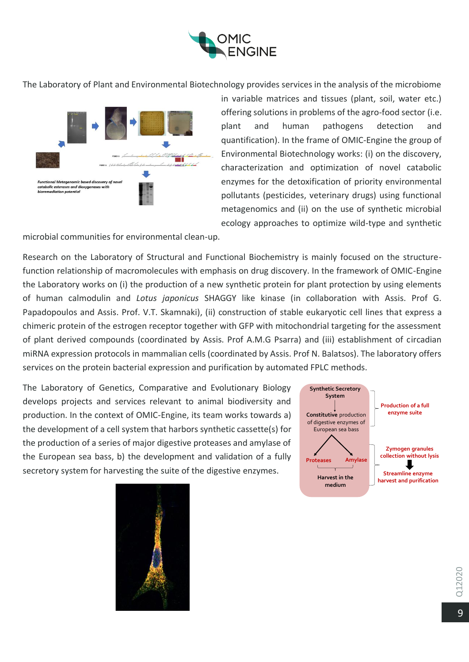

The Laboratory of Plant and Environmental Biotechnology provides services in the analysis of the microbiome



in variable matrices and tissues (plant, soil, water etc.) offering solutions in problems of the agro-food sector (i.e. plant and human pathogens detection and quantification). In the frame of OMIC-Engine the group of Environmental Biotechnology works: (i) on the discovery, characterization and optimization of novel catabolic enzymes for the detoxification of priority environmental pollutants (pesticides, veterinary drugs) using functional metagenomics and (ii) on the use of synthetic microbial ecology approaches to optimize wild-type and synthetic

microbial communities for environmental clean-up.

Research on the Laboratory of Structural and Functional Biochemistry is mainly focused on the structurefunction relationship of macromolecules with emphasis on drug discovery. In the framework of OMIC-Engine the Laboratory works on (i) the production of a new synthetic protein for plant protection by using elements of human calmodulin and *Lotus japonicus* SHAGGY like kinase (in collaboration with Assis. Prof G. Papadopoulos and Assis. Prof. V.T. Skamnaki), (ii) construction of stable eukaryotic cell lines that express a chimeric protein of the estrogen receptor together with GFP with mitochondrial targeting for the assessment of plant derived compounds (coordinated by Assis. Prof A.M.G Psarra) and (iii) establishment of circadian miRNA expression protocols in mammalian cells (coordinated by Assis. Prof N. Balatsos). The laboratory offers services on the protein bacterial expression and purification by automated FPLC methods.

The Laboratory of Genetics, Comparative and Evolutionary Biology develops projects and services relevant to animal biodiversity and production. In the context of OMIC-Engine, its team works towards a) the development of a cell system that harbors synthetic cassette(s) for the production of a series of major digestive proteases and amylase of the European sea bass, b) the development and validation of a fully secretory system for harvesting the suite of the digestive enzymes.



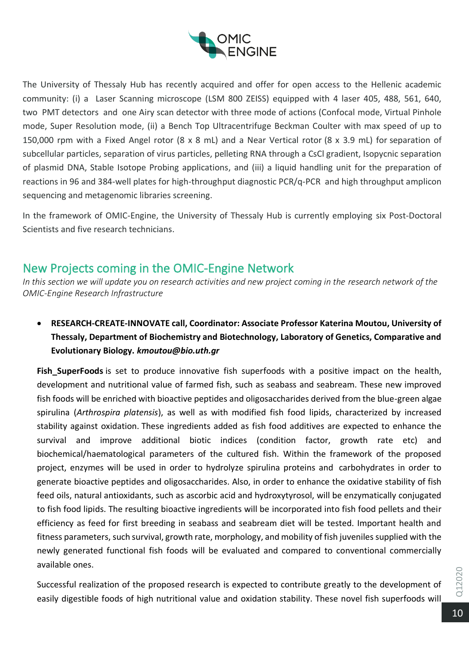

The University of Thessaly Hub has recently acquired and offer for open access to the Hellenic academic community: (i) a Laser Scanning microscope (LSM 800 ZEISS) equipped with 4 laser 405, 488, 561, 640, two PMT detectors and one Airy scan detector with three mode of actions (Confocal mode, Virtual Pinhole mode, Super Resolution mode, (ii) a Bench Top Ultracentrifuge Beckman Coulter with max speed of up to 150,000 rpm with a Fixed Angel rotor (8 x 8 mL) and a Near Vertical rotor (8 x 3.9 mL) for separation of subcellular particles, separation of virus particles, pelleting RNA through a CsCl gradient, Isopycnic separation of plasmid DNA, Stable Isotope Probing applications, and (iii) a liquid handling unit for the preparation of reactions in 96 and 384-well plates for high-throughput diagnostic PCR/q-PCR and high throughput amplicon sequencing and metagenomic libraries screening.

In the framework of OMIC-Engine, the University of Thessaly Hub is currently employing six Post-Doctoral Scientists and five research technicians.

## New Projects coming in the OMIC-Engine Network

*In this section we will update you on research activities and new project coming in the research network of the OMIC-Engine Research Infrastructure*

• **RESEARCH-CREATE-INNOVATE call, Coordinator: Associate Professor Katerina Moutou, University of Thessaly, Department of Biochemistry and Biotechnology, Laboratory of Genetics, Comparative and Evolutionary Biology.** *kmoutou@bio.uth.gr*

**Fish\_SuperFoods** is set to produce innovative fish superfoods with a positive impact on the health, development and nutritional value of farmed fish, such as seabass and seabream. These new improved fish foods will be enriched with bioactive peptides and oligosaccharides derived from the blue-green algae spirulina (*Arthrospira platensis*), as well as with modified fish food lipids, characterized by increased stability against oxidation. These ingredients added as fish food additives are expected to enhance the survival and improve additional biotic indices (condition factor, growth rate etc) and biochemical/haematological parameters of the cultured fish. Within the framework of the proposed project, enzymes will be used in order to hydrolyze spirulina proteins and carbohydrates in order to generate bioactive peptides and oligosaccharides. Also, in order to enhance the oxidative stability of fish feed oils, natural antioxidants, such as ascorbic acid and hydroxytyrosol, will be enzymatically conjugated to fish food lipids. The resulting bioactive ingredients will be incorporated into fish food pellets and their efficiency as feed for first breeding in seabass and seabream diet will be tested. Important health and fitness parameters, such survival, growth rate, morphology, and mobility of fish juveniles supplied with the newly generated functional fish foods will be evaluated and compared to conventional commercially available ones.

Successful realization of the proposed research is expected to contribute greatly to the development of easily digestible foods of high nutritional value and oxidation stability. These novel fish superfoods will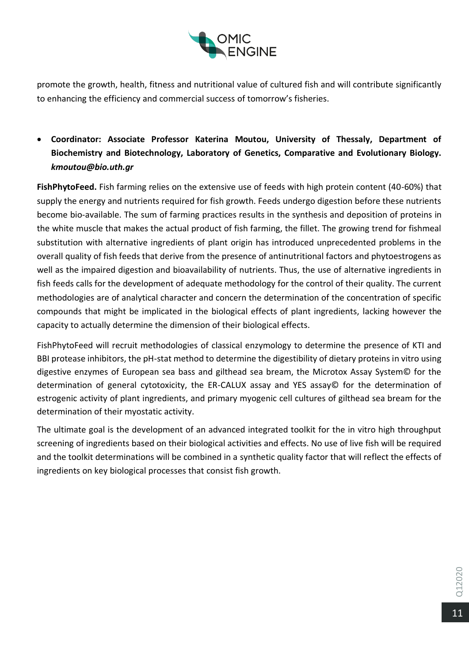

promote the growth, health, fitness and nutritional value of cultured fish and will contribute significantly to enhancing the efficiency and commercial success of tomorrow's fisheries.

• **Coordinator: Associate Professor Katerina Moutou, University of Thessaly, Department of Biochemistry and Biotechnology, Laboratory of Genetics, Comparative and Evolutionary Biology.** *kmoutou@bio.uth.gr*

**FishPhytoFeed.** Fish farming relies on the extensive use of feeds with high protein content (40-60%) that supply the energy and nutrients required for fish growth. Feeds undergo digestion before these nutrients become bio-available. The sum of farming practices results in the synthesis and deposition of proteins in the white muscle that makes the actual product of fish farming, the fillet. The growing trend for fishmeal substitution with alternative ingredients of plant origin has introduced unprecedented problems in the overall quality of fish feeds that derive from the presence of antinutritional factors and phytoestrogens as well as the impaired digestion and bioavailability of nutrients. Thus, the use of alternative ingredients in fish feeds calls for the development of adequate methodology for the control of their quality. The current methodologies are of analytical character and concern the determination of the concentration of specific compounds that might be implicated in the biological effects of plant ingredients, lacking however the capacity to actually determine the dimension of their biological effects.

FishPhytoFeed will recruit methodologies of classical enzymology to determine the presence of KTI and BBI protease inhibitors, the pH-stat method to determine the digestibility of dietary proteins in vitro using digestive enzymes of European sea bass and gilthead sea bream, the Microtox Assay System© for the determination of general cytotoxicity, the ER-CALUX assay and YES assay© for the determination of estrogenic activity of plant ingredients, and primary myogenic cell cultures of gilthead sea bream for the determination of their myostatic activity.

The ultimate goal is the development of an advanced integrated toolkit for the in vitro high throughput screening of ingredients based on their biological activities and effects. No use of live fish will be required and the toolkit determinations will be combined in a synthetic quality factor that will reflect the effects of ingredients on key biological processes that consist fish growth.